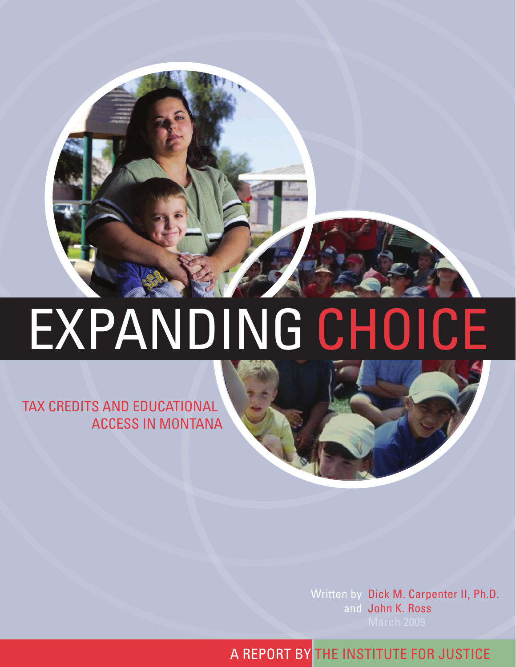

# EXPANDING CHOICE

Tax CrEdiTS and EduCaTional aCCESS in MonTana

> Written by Dick M. Carpenter II, Ph.D. and John K. Ross

a rEporT bY ThE inSTiTuTE for JuSTiCE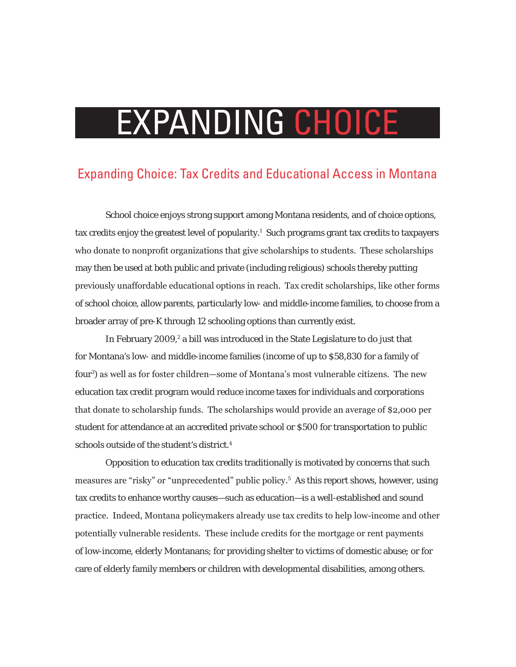# EXPANDING CHOICE

#### Expanding Choice: Tax Credits and Educational Access in Montana

School choice enjoys strong support among Montana residents, and of choice options, tax credits enjoy the greatest level of popularity. $^1$  Such programs grant tax credits to taxpayers who donate to nonprofit organizations that give scholarships to students. These scholarships may then be used at both public and private (including religious) schools thereby putting previously unaffordable educational options in reach. Tax credit scholarships, like other forms of school choice, allow parents, particularly low- and middle-income families, to choose from a broader array of pre-K through 12 schooling options than currently exist.

In February 2009,<sup>2</sup> a bill was introduced in the State Legislature to do just that for Montana's low- and middle-income families (income of up to \$58,830 for a family of four3 ) as well as for foster children—some of Montana's most vulnerable citizens. The new education tax credit program would reduce income taxes for individuals and corporations that donate to scholarship funds. The scholarships would provide an average of \$2,000 per student for attendance at an accredited private school or \$500 for transportation to public schools outside of the student's district.<sup>4</sup>

Opposition to education tax credits traditionally is motivated by concerns that such measures are "risky" or "unprecedented" public policy.<sup>5</sup> As this report shows, however, using tax credits to enhance worthy causes—such as education—is a well-established and sound practice. Indeed, Montana policymakers already use tax credits to help low-income and other potentially vulnerable residents. These include credits for the mortgage or rent payments of low-income, elderly Montanans; for providing shelter to victims of domestic abuse; or for care of elderly family members or children with developmental disabilities, among others.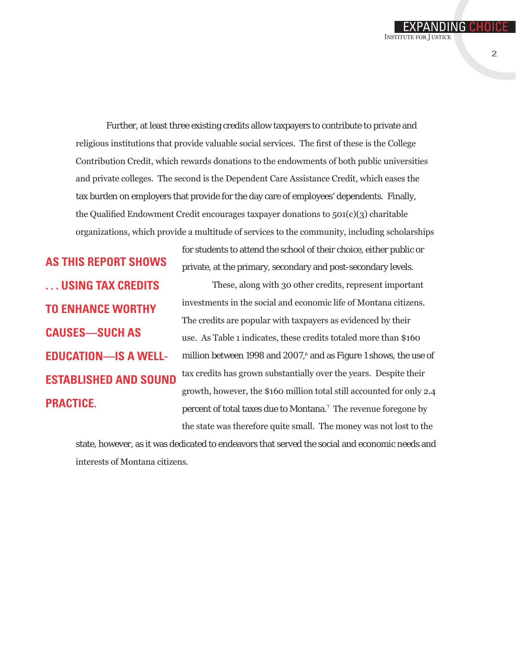Further, at least three existing credits allow taxpayers to contribute to private and religious institutions that provide valuable social services. The first of these is the College Contribution Credit, which rewards donations to the endowments of both public universities and private colleges. The second is the Dependent Care Assistance Credit, which eases the tax burden on employers that provide for the day care of employees' dependents. Finally, the Qualified Endowment Credit encourages taxpayer donations to 501(c)(3) charitable organizations, which provide a multitude of services to the community, including scholarships

**As this report shows . . . using tax credits to enhance worthy causes—such as education—is a wellestablished and sound practice.**

for students to attend the school of their choice, either public or private, at the primary, secondary and post-secondary levels.

These, along with 30 other credits, represent important investments in the social and economic life of Montana citizens. The credits are popular with taxpayers as evidenced by their use. As Table 1 indicates, these credits totaled more than \$160 million between 1998 and 2007,<sup>6</sup> and as Figure 1 shows, the use of tax credits has grown substantially over the years. Despite their growth, however, the \$160 million total still accounted for only 2.4 percent of total taxes due to Montana.7 The revenue foregone by the state was therefore quite small. The money was not lost to the

state, however, as it was dedicated to endeavors that served the social and economic needs and interests of Montana citizens.

EXPANDING CHOIC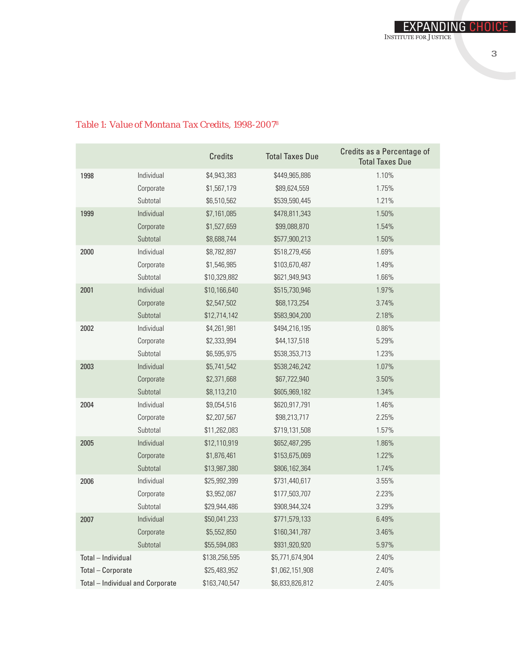|                                  |            | <b>Credits</b> | <b>Total Taxes Due</b> | Credits as a Percentage of<br><b>Total Taxes Due</b> |  |  |  |
|----------------------------------|------------|----------------|------------------------|------------------------------------------------------|--|--|--|
| 1998                             | Individual | \$4,943,383    | \$449,965,886          | 1.10%                                                |  |  |  |
|                                  | Corporate  | \$1,567,179    | \$89,624,559           | 1.75%                                                |  |  |  |
|                                  | Subtotal   | \$6,510,562    | \$539,590,445          | 1.21%                                                |  |  |  |
| 1999                             | Individual | \$7,161,085    | \$478,811,343          | 1.50%                                                |  |  |  |
|                                  | Corporate  | \$1,527,659    | \$99,088,870           | 1.54%                                                |  |  |  |
|                                  | Subtotal   | \$8,688,744    | \$577,900,213          | 1.50%                                                |  |  |  |
| 2000                             | Individual | \$8,782,897    | \$518,279,456          | 1.69%                                                |  |  |  |
|                                  | Corporate  | \$1,546,985    | \$103,670,487          | 1.49%                                                |  |  |  |
|                                  | Subtotal   | \$10,329,882   | \$621,949,943          | 1.66%                                                |  |  |  |
| 2001                             | Individual | \$10,166,640   | \$515,730,946          | 1.97%                                                |  |  |  |
|                                  | Corporate  | \$2,547,502    | \$68,173,254           | 3.74%                                                |  |  |  |
|                                  | Subtotal   | \$12,714,142   | \$583,904,200          | 2.18%                                                |  |  |  |
| 2002                             | Individual | \$4,261,981    | \$494,216,195          | 0.86%                                                |  |  |  |
|                                  | Corporate  | \$2,333,994    | \$44,137,518           | 5.29%                                                |  |  |  |
|                                  | Subtotal   | \$6,595,975    | \$538,353,713          | 1.23%                                                |  |  |  |
| 2003                             | Individual | \$5,741,542    | \$538,246,242          | 1.07%                                                |  |  |  |
|                                  | Corporate  | \$2,371,668    | \$67,722,940           | 3.50%                                                |  |  |  |
|                                  | Subtotal   | \$8,113,210    | \$605,969,182          | 1.34%                                                |  |  |  |
| 2004                             | Individual | \$9,054,516    | \$620,917,791          | 1.46%                                                |  |  |  |
|                                  | Corporate  | \$2,207,567    | \$98,213,717           | 2.25%                                                |  |  |  |
|                                  | Subtotal   | \$11,262,083   | \$719,131,508          | 1.57%                                                |  |  |  |
| 2005                             | Individual | \$12,110,919   | \$652,487,295          | 1.86%                                                |  |  |  |
|                                  | Corporate  | \$1,876,461    | \$153,675,069          | 1.22%                                                |  |  |  |
|                                  | Subtotal   | \$13,987,380   | \$806,162,364          | 1.74%                                                |  |  |  |
| 2006                             | Individual | \$25,992,399   | \$731,440,617          | 3.55%                                                |  |  |  |
|                                  | Corporate  | \$3,952,087    | \$177,503,707          | 2.23%                                                |  |  |  |
|                                  | Subtotal   | \$29,944,486   | \$908,944,324          | 3.29%                                                |  |  |  |
| 2007                             | Individual | \$50,041,233   | \$771,579,133          | 6.49%                                                |  |  |  |
|                                  | Corporate  | \$5,552,850    | \$160,341,787          | 3.46%                                                |  |  |  |
|                                  | Subtotal   | \$55,594,083   | \$931,920,920          | 5.97%                                                |  |  |  |
| Total - Individual               |            | \$138,256,595  | \$5,771,674,904        | 2.40%                                                |  |  |  |
| Total - Corporate                |            | \$25,483,952   | \$1,062,151,908        | 2.40%                                                |  |  |  |
| Total - Individual and Corporate |            | \$163,740,547  | \$6,833,826,812        | 2.40%                                                |  |  |  |

#### *Table 1: Value of Montana Tax Credits, 1998-2007*<sup>8</sup>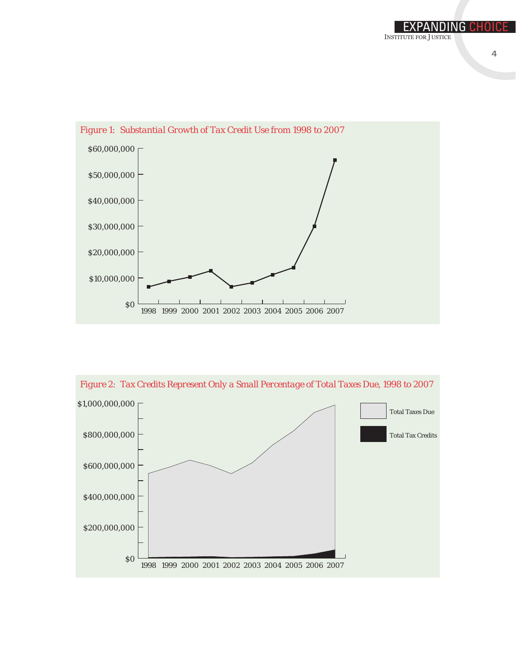



*Figure 2: Tax Credits Represent Only a Small Percentage of Total Taxes Due, 1998 to 2007*

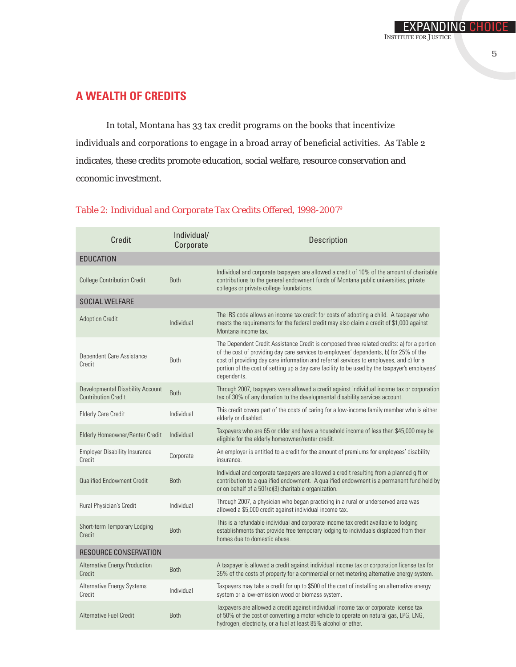In total, Montana has 33 tax credit programs on the books that incentivize individuals and corporations to engage in a broad array of beneficial activities. As Table 2 indicates, these credits promote education, social welfare, resource conservation and economic investment.

| <b>Both</b> | Individual and corporate taxpayers are allowed a credit of 10% of the amount of charitable<br>contributions to the general endowment funds of Montana public universities, private<br>colleges or private college foundations.                                                                                                                                                                  |
|-------------|-------------------------------------------------------------------------------------------------------------------------------------------------------------------------------------------------------------------------------------------------------------------------------------------------------------------------------------------------------------------------------------------------|
|             |                                                                                                                                                                                                                                                                                                                                                                                                 |
| Individual  | The IRS code allows an income tax credit for costs of adopting a child. A taxpayer who<br>meets the requirements for the federal credit may also claim a credit of \$1,000 against<br>Montana income tax.                                                                                                                                                                                       |
| Both        | The Dependent Credit Assistance Credit is composed three related credits: a) for a portion<br>of the cost of providing day care services to employees' dependents, b) for 25% of the<br>cost of providing day care information and referral services to employees, and c) for a<br>portion of the cost of setting up a day care facility to be used by the taxpayer's employees'<br>dependents. |
| <b>Both</b> | Through 2007, taxpayers were allowed a credit against individual income tax or corporation<br>tax of 30% of any donation to the developmental disability services account.                                                                                                                                                                                                                      |
| Individual  | This credit covers part of the costs of caring for a low-income family member who is either<br>elderly or disabled.                                                                                                                                                                                                                                                                             |
| Individual  | Taxpayers who are 65 or older and have a household income of less than \$45,000 may be<br>eligible for the elderly homeowner/renter credit.                                                                                                                                                                                                                                                     |
| Corporate   | An employer is entitled to a credit for the amount of premiums for employees' disability<br>insurance.                                                                                                                                                                                                                                                                                          |
| <b>Both</b> | Individual and corporate taxpayers are allowed a credit resulting from a planned gift or<br>contribution to a qualified endowment. A qualified endowment is a permanent fund held by<br>or on behalf of a 501(c)(3) charitable organization.                                                                                                                                                    |
| Individual  | Through 2007, a physician who began practicing in a rural or underserved area was<br>allowed a \$5,000 credit against individual income tax.                                                                                                                                                                                                                                                    |
| Both        | This is a refundable individual and corporate income tax credit available to lodging<br>establishments that provide free temporary lodging to individuals displaced from their<br>homes due to domestic abuse.                                                                                                                                                                                  |
|             |                                                                                                                                                                                                                                                                                                                                                                                                 |
| Both        | A taxpayer is allowed a credit against individual income tax or corporation license tax for<br>35% of the costs of property for a commercial or net metering alternative energy system.                                                                                                                                                                                                         |
| Individual  | Taxpayers may take a credit for up to \$500 of the cost of installing an alternative energy<br>system or a low-emission wood or biomass system.                                                                                                                                                                                                                                                 |
| Both        | Taxpayers are allowed a credit against individual income tax or corporate license tax<br>of 50% of the cost of converting a motor vehicle to operate on natural gas, LPG, LNG,<br>hydrogen, electricity, or a fuel at least 85% alcohol or ether.                                                                                                                                               |
|             |                                                                                                                                                                                                                                                                                                                                                                                                 |

#### *Table 2: Individual and Corporate Tax Credits Offered, 1998-2007*<sup>9</sup>

Expanding Choice

Institute for Justice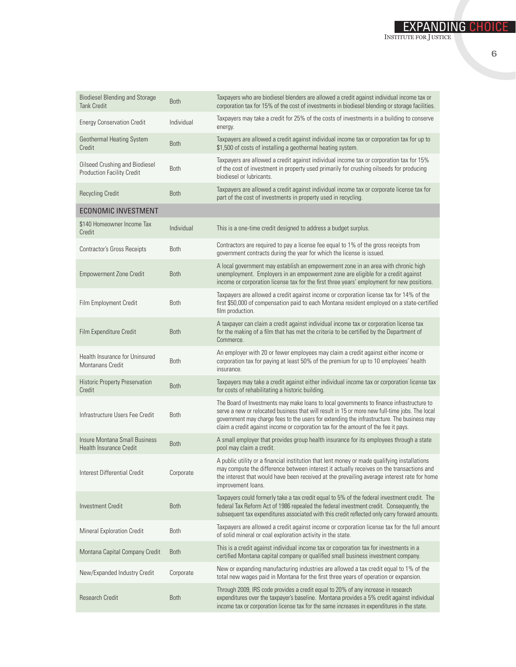| <b>Biodiesel Blending and Storage</b><br><b>Tank Credit</b>         | <b>Both</b> | Taxpayers who are biodiesel blenders are allowed a credit against individual income tax or<br>corporation tax for 15% of the cost of investments in biodiesel blending or storage facilities.                                                                                                                                                                                    |
|---------------------------------------------------------------------|-------------|----------------------------------------------------------------------------------------------------------------------------------------------------------------------------------------------------------------------------------------------------------------------------------------------------------------------------------------------------------------------------------|
| <b>Energy Conservation Credit</b>                                   | Individual  | Taxpayers may take a credit for 25% of the costs of investments in a building to conserve<br>energy.                                                                                                                                                                                                                                                                             |
| Geothermal Heating System<br>Credit                                 | <b>Both</b> | Taxpayers are allowed a credit against individual income tax or corporation tax for up to<br>\$1,500 of costs of installing a geothermal heating system.                                                                                                                                                                                                                         |
| Oilseed Crushing and Biodiesel<br><b>Production Facility Credit</b> | <b>Both</b> | Taxpayers are allowed a credit against individual income tax or corporation tax for 15%<br>of the cost of investment in property used primarily for crushing oilseeds for producing<br>biodiesel or lubricants.                                                                                                                                                                  |
| <b>Recycling Credit</b>                                             | <b>Both</b> | Taxpayers are allowed a credit against individual income tax or corporate license tax for<br>part of the cost of investments in property used in recycling.                                                                                                                                                                                                                      |
| <b>ECONOMIC INVESTMENT</b>                                          |             |                                                                                                                                                                                                                                                                                                                                                                                  |
| \$140 Homeowner Income Tax<br>Credit                                | Individual  | This is a one-time credit designed to address a budget surplus.                                                                                                                                                                                                                                                                                                                  |
| Contractor's Gross Receipts                                         | Both        | Contractors are required to pay a license fee equal to 1% of the gross receipts from<br>government contracts during the year for which the license is issued.                                                                                                                                                                                                                    |
| <b>Empowerment Zone Credit</b>                                      | <b>Both</b> | A local government may establish an empowerment zone in an area with chronic high<br>unemployment. Employers in an empowerment zone are eligible for a credit against<br>income or corporation license tax for the first three years' employment for new positions.                                                                                                              |
| Film Employment Credit                                              | <b>Both</b> | Taxpayers are allowed a credit against income or corporation license tax for 14% of the<br>first \$50,000 of compensation paid to each Montana resident employed on a state-certified<br>film production.                                                                                                                                                                        |
| Film Expenditure Credit                                             | <b>Both</b> | A taxpayer can claim a credit against individual income tax or corporation license tax<br>for the making of a film that has met the criteria to be certified by the Department of<br>Commerce.                                                                                                                                                                                   |
| Health Insurance for Uninsured<br><b>Montanans Credit</b>           | <b>Both</b> | An employer with 20 or fewer employees may claim a credit against either income or<br>corporation tax for paying at least 50% of the premium for up to 10 employees' health<br>insurance.                                                                                                                                                                                        |
| Historic Property Preservation<br>Credit                            | <b>Both</b> | Taxpayers may take a credit against either individual income tax or corporation license tax<br>for costs of rehabilitating a historic building.                                                                                                                                                                                                                                  |
| Infrastructure Users Fee Credit                                     | <b>Both</b> | The Board of Investments may make loans to local governments to finance infrastructure to<br>serve a new or relocated business that will result in 15 or more new full-time jobs. The local<br>government may charge fees to the users for extending the infrastructure. The business may<br>claim a credit against income or corporation tax for the amount of the fee it pays. |
| Insure Montana Small Business<br><b>Health Insurance Credit</b>     | <b>Both</b> | A small employer that provides group health insurance for its employees through a state<br>pool may claim a credit.                                                                                                                                                                                                                                                              |
| Interest Differential Credit                                        | Corporate   | A public utility or a financial institution that lent money or made qualifying installations<br>may compute the difference between interest it actually receives on the transactions and<br>the interest that would have been received at the prevailing average interest rate for home<br>improvement loans.                                                                    |
| <b>Investment Credit</b>                                            | <b>Both</b> | Taxpayers could formerly take a tax credit equal to 5% of the federal investment credit. The<br>federal Tax Reform Act of 1986 repealed the federal investment credit. Consequently, the<br>subsequent tax expenditures associated with this credit reflected only carry forward amounts.                                                                                        |
| <b>Mineral Exploration Credit</b>                                   | Both        | Taxpayers are allowed a credit against income or corporation license tax for the full amount<br>of solid mineral or coal exploration activity in the state.                                                                                                                                                                                                                      |
| Montana Capital Company Credit                                      | <b>Both</b> | This is a credit against individual income tax or corporation tax for investments in a<br>certified Montana capital company or qualified small business investment company.                                                                                                                                                                                                      |
| New/Expanded Industry Credit                                        | Corporate   | New or expanding manufacturing industries are allowed a tax credit equal to 1% of the<br>total new wages paid in Montana for the first three years of operation or expansion.                                                                                                                                                                                                    |
| <b>Research Credit</b>                                              | <b>Both</b> | Through 2009, IRS code provides a credit equal to 20% of any increase in research<br>expenditures over the taxpayer's baseline. Montana provides a 5% credit against individual<br>income tax or corporation license tax for the same increases in expenditures in the state.                                                                                                    |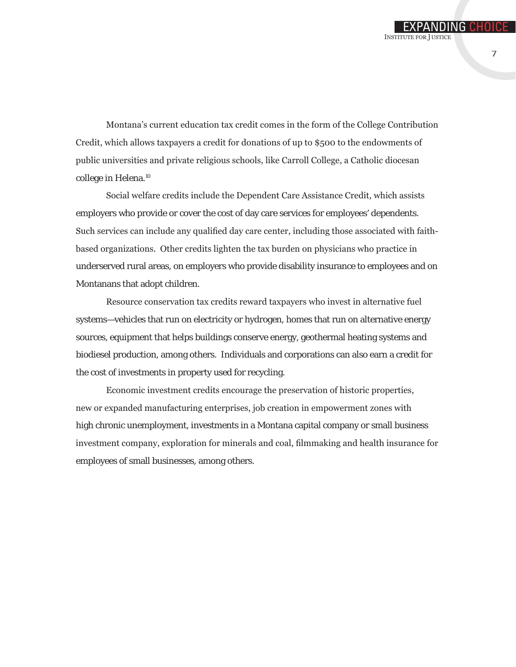**INSTITUTE FOR JUSTICE** 

Montana's current education tax credit comes in the form of the College Contribution Credit, which allows taxpayers a credit for donations of up to \$500 to the endowments of public universities and private religious schools, like Carroll College, a Catholic diocesan college in Helena.<sup>10</sup>

Social welfare credits include the Dependent Care Assistance Credit, which assists employers who provide or cover the cost of day care services for employees' dependents. Such services can include any qualified day care center, including those associated with faithbased organizations. Other credits lighten the tax burden on physicians who practice in underserved rural areas, on employers who provide disability insurance to employees and on Montanans that adopt children.

Resource conservation tax credits reward taxpayers who invest in alternative fuel systems—vehicles that run on electricity or hydrogen, homes that run on alternative energy sources, equipment that helps buildings conserve energy, geothermal heating systems and biodiesel production, among others. Individuals and corporations can also earn a credit for the cost of investments in property used for recycling.

Economic investment credits encourage the preservation of historic properties, new or expanded manufacturing enterprises, job creation in empowerment zones with high chronic unemployment, investments in a Montana capital company or small business investment company, exploration for minerals and coal, filmmaking and health insurance for employees of small businesses, among others.

EXPANDING CHOIC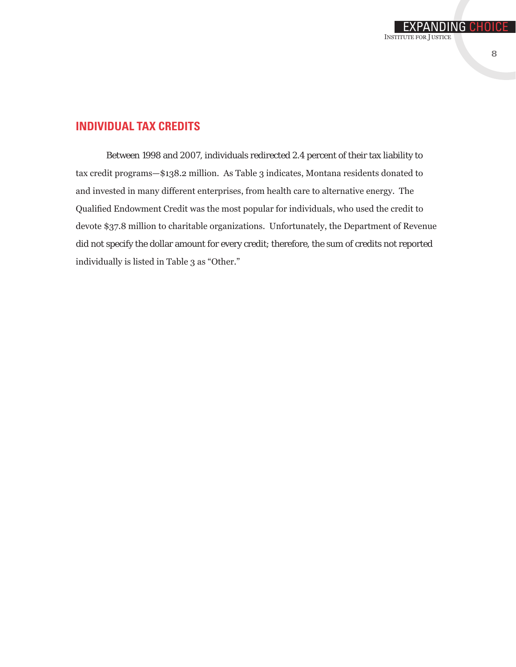#### **Individual Tax Credits**

Between 1998 and 2007, individuals redirected 2.4 percent of their tax liability to tax credit programs—\$138.2 million. As Table 3 indicates, Montana residents donated to and invested in many different enterprises, from health care to alternative energy. The Qualified Endowment Credit was the most popular for individuals, who used the credit to devote \$37.8 million to charitable organizations. Unfortunately, the Department of Revenue did not specify the dollar amount for every credit; therefore, the sum of credits not reported individually is listed in Table 3 as "Other."

EXPANDING CHOIC

Institute for Justice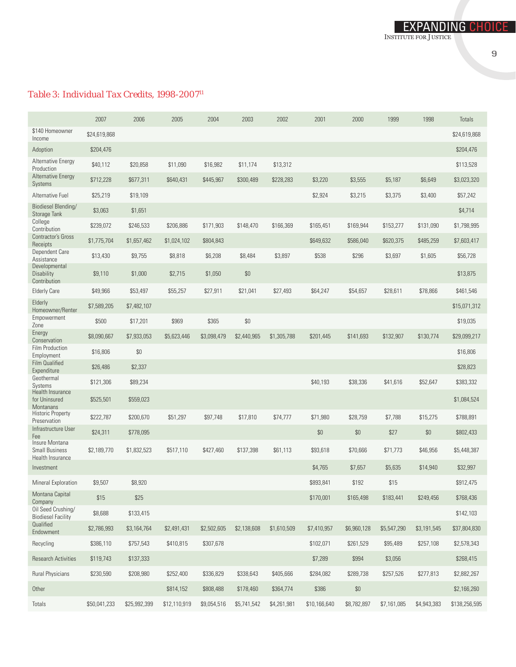#### *Table 3: Individual Tax Credits, 1998-2007*<sup>11</sup>

|                                                             | 2007         | 2006         | 2005         | 2004        | 2003        | 2002        | 2001         | 2000        | 1999        | 1998        | <b>Totals</b> |
|-------------------------------------------------------------|--------------|--------------|--------------|-------------|-------------|-------------|--------------|-------------|-------------|-------------|---------------|
| \$140 Homeowner<br>Income                                   | \$24,619,868 |              |              |             |             |             |              |             |             |             | \$24,619,868  |
| Adoption                                                    | \$204,476    |              |              |             |             |             |              |             |             |             | \$204,476     |
| <b>Alternative Energy</b><br>Production                     | \$40,112     | \$20,858     | \$11,090     | \$16,982    | \$11,174    | \$13,312    |              |             |             |             | \$113,528     |
| <b>Alternative Energy</b><br><b>Systems</b>                 | \$712,228    | \$677,311    | \$640,431    | \$445,967   | \$300,489   | \$228,283   | \$3,220      | \$3,555     | \$5,187     | \$6,649     | \$3,023,320   |
| Alternative Fuel                                            | \$25,219     | \$19,109     |              |             |             |             | \$2,924      | \$3,215     | \$3,375     | \$3,400     | \$57,242      |
| Biodiesel Blending/<br>Storage Tank                         | \$3,063      | \$1,651      |              |             |             |             |              |             |             |             | \$4,714       |
| College<br>Contribution                                     | \$239,072    | \$246,533    | \$206,886    | \$171,903   | \$148,470   | \$166,369   | \$165,451    | \$169,944   | \$153,277   | \$131,090   | \$1,798,995   |
| Contractor's Gross<br>Receipts                              | \$1,775,704  | \$1,657,462  | \$1,024,102  | \$804,843   |             |             | \$649,632    | \$586,040   | \$620,375   | \$485,259   | \$7,603,417   |
| Dependent Care<br>Assistance                                | \$13,430     | \$9,755      | \$8,818      | \$6,208     | \$8,484     | \$3,897     | \$538        | \$296       | \$3,697     | \$1,605     | \$56,728      |
| Developmental<br>Disability<br>Contribution                 | \$9,110      | \$1,000      | \$2,715      | \$1,050     | \$0         |             |              |             |             |             | \$13,875      |
| <b>Elderly Care</b>                                         | \$49,966     | \$53,497     | \$55,257     | \$27,911    | \$21,041    | \$27,493    | \$64,247     | \$54,657    | \$28,611    | \$78,866    | \$461,546     |
| Elderly<br>Homeowner/Renter                                 | \$7,589,205  | \$7,482,107  |              |             |             |             |              |             |             |             | \$15,071,312  |
| Empowerment<br>Zone                                         | \$500        | \$17,201     | \$969        | \$365       | \$0         |             |              |             |             |             | \$19,035      |
| Energy<br>Conservation                                      | \$8,090,667  | \$7,933,053  | \$5,623,446  | \$3,098,479 | \$2,440,965 | \$1,305,788 | \$201,445    | \$141,693   | \$132,907   | \$130,774   | \$29,099,217  |
| Film Production<br>Employment                               | \$16,806     | \$0          |              |             |             |             |              |             |             |             | \$16,806      |
| <b>Film Qualified</b><br>Expenditure                        | \$26,486     | \$2,337      |              |             |             |             |              |             |             |             | \$28,823      |
| Geothermal<br>Systems                                       | \$121,306    | \$89,234     |              |             |             |             | \$40,193     | \$38,336    | \$41,616    | \$52,647    | \$383,332     |
| Health Insurance<br>for Uninsured<br><b>Montanans</b>       | \$525,501    | \$559,023    |              |             |             |             |              |             |             |             | \$1,084,524   |
| <b>Historic Property</b><br>Preservation                    | \$222,787    | \$200,670    | \$51,297     | \$97,748    | \$17,810    | \$74,777    | \$71,980     | \$28,759    | \$7,788     | \$15,275    | \$788,891     |
| Infrastructure User<br>Fee                                  | \$24,311     | \$778,095    |              |             |             |             | \$0          | \$0         | \$27        | \$0         | \$802,433     |
| Insure Montana<br><b>Small Business</b><br>Health Insurance | \$2,189,770  | \$1,832,523  | \$517,110    | \$427,460   | \$137,398   | \$61,113    | \$93,618     | \$70,666    | \$71,773    | \$46,956    | \$5,448,387   |
| Investment                                                  |              |              |              |             |             |             | \$4,765      | \$7,657     | \$5,635     | \$14,940    | \$32,997      |
| Mineral Exploration                                         | \$9,507      | \$8,920      |              |             |             |             | \$893,841    | \$192       | \$15        |             | \$912,475     |
| Montana Capital<br>Company                                  | \$15         | \$25         |              |             |             |             | \$170,001    | \$165,498   | \$183,441   | \$249,456   | \$768,436     |
| Oil Seed Crushing/<br><b>Biodiesel Facility</b>             | \$8,688      | \$133,415    |              |             |             |             |              |             |             |             | \$142,103     |
| Qualified<br>Endowment                                      | \$2,786,993  | \$3,164,764  | \$2,491,431  | \$2,502,605 | \$2,138,608 | \$1,610,509 | \$7,410,957  | \$6,960,128 | \$5,547,290 | \$3,191,545 | \$37,804,830  |
| Recycling                                                   | \$386,110    | \$757,543    | \$410,815    | \$307,678   |             |             | \$102,071    | \$261,529   | \$95,489    | \$257,108   | \$2,578,343   |
| <b>Research Activities</b>                                  | \$119,743    | \$137,333    |              |             |             |             | \$7,289      | \$994       | \$3,056     |             | \$268,415     |
| <b>Rural Physicians</b>                                     | \$230,590    | \$208,980    | \$252,400    | \$336,829   | \$338,643   | \$405,666   | \$284,082    | \$289,738   | \$257,526   | \$277,813   | \$2,882,267   |
| Other                                                       |              |              | \$814,152    | \$808,488   | \$178,460   | \$364,774   | \$386        | $\$0$       |             |             | \$2,166,260   |
| Totals                                                      | \$50,041,233 | \$25,992,399 | \$12,110,919 | \$9,054,516 | \$5,741,542 | \$4,261,981 | \$10,166,640 | \$8,782,897 | \$7,161,085 | \$4,943,383 | \$138,256,595 |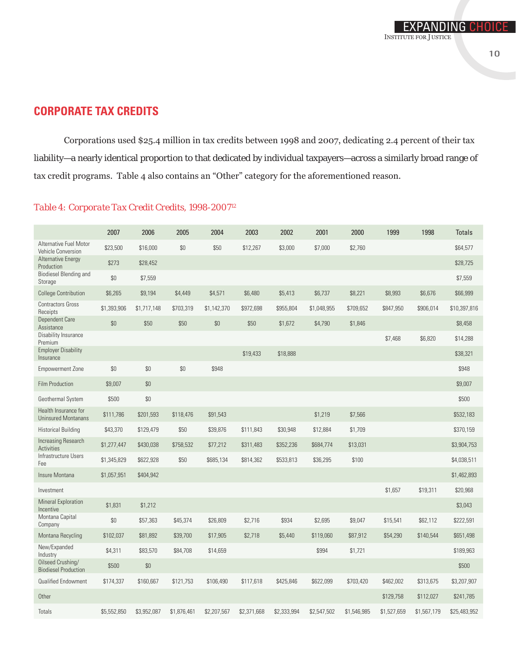Corporations used \$25.4 million in tax credits between 1998 and 2007, dedicating 2.4 percent of their tax liability—a nearly identical proportion to that dedicated by individual taxpayers—across a similarly broad range of tax credit programs. Table 4 also contains an "Other" category for the aforementioned reason.

#### *Table 4: Corporate Tax Credit Credits, 1998-200712*

| <b>Alternative Fuel Motor</b><br>\$23,500<br>\$16,000<br>\$0<br>\$50<br>\$12,267<br>\$3,000<br>\$7,000<br>\$2,760<br>\$64,577<br><b>Vehicle Conversion</b><br><b>Alternative Energy</b><br>\$273<br>\$28,452<br>\$28,725<br>Production<br><b>Biodiesel Blending and</b><br>\$0<br>\$7,559<br>\$7,559<br>Storage<br>\$6,737<br>\$8,221<br><b>College Contribution</b><br>\$6,265<br>\$9,194<br>\$4,449<br>\$4,571<br>\$6,480<br>\$5,413<br>\$8,993<br>\$6,676<br>\$66,999<br><b>Contractors Gross</b><br>\$1,393,906<br>\$1,717,148<br>\$703,319<br>\$1,142,370<br>\$972,698<br>\$955,804<br>\$1,048,955<br>\$709,652<br>\$847,950<br>\$906,014<br>Receipts<br>Dependent Care<br>\$0<br>\$50<br>\$50<br>\$0<br>\$50<br>\$1,672<br>\$4,790<br>\$1,846<br>\$8,458<br>Assistance<br>Disability Insurance<br>\$7,468<br>\$6,820<br>\$14,288<br>Premium<br><b>Employer Disability</b><br>\$38,321<br>\$19,433<br>\$18,888<br>Insurance<br>\$0<br>\$0<br>\$0<br><b>Empowerment Zone</b><br>\$948<br>\$948<br><b>Film Production</b><br>\$9,007<br>\$0<br>\$9,007<br>\$0<br>\$500<br>\$500<br>Geothermal System<br>Health Insurance for<br>\$1,219<br>\$532,183<br>\$111,786<br>\$201,593<br>\$118,476<br>\$91,543<br>\$7,566<br><b>Uninsured Montanans</b><br><b>Historical Building</b><br>\$43,370<br>\$129,479<br>\$50<br>\$39,876<br>\$111,843<br>\$30,948<br>\$12,884<br>\$1,709<br>\$370,159<br>Increasing Research<br>\$1,277,447<br>\$430,038<br>\$758,532<br>\$77,212<br>\$311,483<br>\$352,236<br>\$684,774<br>\$13,031<br>Activities<br>Infrastructure Users<br>\$533,813<br>\$1,345,829<br>\$622,928<br>\$50<br>\$685,134<br>\$814,362<br>\$36,295<br>\$100<br>Fee<br>Insure Montana<br>\$1,057,951<br>\$404,942<br>\$19,311<br>\$1,657<br>\$20,968<br>Investment<br><b>Mineral Exploration</b><br>\$1,831<br>\$1,212<br>\$3,043<br>Incentive<br>Montana Capital<br>\$0<br>\$934<br>\$57,363<br>\$45,374<br>\$26,809<br>\$2,716<br>\$2,695<br>\$9,047<br>\$15,541<br>\$62,112<br>\$222,591<br>Company<br>\$39,700<br>\$651,498<br>\$102,037<br>\$81,892<br>\$17,905<br>\$2,718<br>\$5,440<br>\$119,060<br>\$87,912<br>\$54,290<br>\$140,544<br>Montana Recycling<br>New/Expanded<br>\$4,311<br>\$83,570<br>\$84,708<br>\$14,659<br>\$994<br>\$1,721<br>\$189,963<br>Industry<br>Oilseed Crushing/<br>$$0$<br>\$500<br>\$500<br><b>Biodiesel Production</b><br>Qualified Endowment<br>\$174,337<br>\$160,667<br>\$425,846<br>\$622,099<br>\$703,420<br>\$121,753<br>\$106,490<br>\$117,618<br>\$462,002<br>\$313,675<br>Other<br>\$129,758<br>\$241,785<br>\$112,027<br>Totals<br>\$5,552,850<br>\$3,952,087<br>\$1,876,461<br>\$2,207,567<br>\$2,371,668<br>\$2,333,994<br>\$2,547,502<br>\$1,546,985<br>\$1,527,659<br>\$1,567,179 | 2007 | 2006 | 2005 | 2004 | 2003 | 2002 | 2001 | 2000 | 1999 | 1998 | <b>Totals</b> |
|------------------------------------------------------------------------------------------------------------------------------------------------------------------------------------------------------------------------------------------------------------------------------------------------------------------------------------------------------------------------------------------------------------------------------------------------------------------------------------------------------------------------------------------------------------------------------------------------------------------------------------------------------------------------------------------------------------------------------------------------------------------------------------------------------------------------------------------------------------------------------------------------------------------------------------------------------------------------------------------------------------------------------------------------------------------------------------------------------------------------------------------------------------------------------------------------------------------------------------------------------------------------------------------------------------------------------------------------------------------------------------------------------------------------------------------------------------------------------------------------------------------------------------------------------------------------------------------------------------------------------------------------------------------------------------------------------------------------------------------------------------------------------------------------------------------------------------------------------------------------------------------------------------------------------------------------------------------------------------------------------------------------------------------------------------------------------------------------------------------------------------------------------------------------------------------------------------------------------------------------------------------------------------------------------------------------------------------------------------------------------------------------------------------------------------------------------------------------------------------------------------------------------------------------------------------------------------------------------------------------------------------------------------------------------------------------------------------------------------------|------|------|------|------|------|------|------|------|------|------|---------------|
|                                                                                                                                                                                                                                                                                                                                                                                                                                                                                                                                                                                                                                                                                                                                                                                                                                                                                                                                                                                                                                                                                                                                                                                                                                                                                                                                                                                                                                                                                                                                                                                                                                                                                                                                                                                                                                                                                                                                                                                                                                                                                                                                                                                                                                                                                                                                                                                                                                                                                                                                                                                                                                                                                                                                          |      |      |      |      |      |      |      |      |      |      |               |
|                                                                                                                                                                                                                                                                                                                                                                                                                                                                                                                                                                                                                                                                                                                                                                                                                                                                                                                                                                                                                                                                                                                                                                                                                                                                                                                                                                                                                                                                                                                                                                                                                                                                                                                                                                                                                                                                                                                                                                                                                                                                                                                                                                                                                                                                                                                                                                                                                                                                                                                                                                                                                                                                                                                                          |      |      |      |      |      |      |      |      |      |      |               |
|                                                                                                                                                                                                                                                                                                                                                                                                                                                                                                                                                                                                                                                                                                                                                                                                                                                                                                                                                                                                                                                                                                                                                                                                                                                                                                                                                                                                                                                                                                                                                                                                                                                                                                                                                                                                                                                                                                                                                                                                                                                                                                                                                                                                                                                                                                                                                                                                                                                                                                                                                                                                                                                                                                                                          |      |      |      |      |      |      |      |      |      |      |               |
|                                                                                                                                                                                                                                                                                                                                                                                                                                                                                                                                                                                                                                                                                                                                                                                                                                                                                                                                                                                                                                                                                                                                                                                                                                                                                                                                                                                                                                                                                                                                                                                                                                                                                                                                                                                                                                                                                                                                                                                                                                                                                                                                                                                                                                                                                                                                                                                                                                                                                                                                                                                                                                                                                                                                          |      |      |      |      |      |      |      |      |      |      |               |
|                                                                                                                                                                                                                                                                                                                                                                                                                                                                                                                                                                                                                                                                                                                                                                                                                                                                                                                                                                                                                                                                                                                                                                                                                                                                                                                                                                                                                                                                                                                                                                                                                                                                                                                                                                                                                                                                                                                                                                                                                                                                                                                                                                                                                                                                                                                                                                                                                                                                                                                                                                                                                                                                                                                                          |      |      |      |      |      |      |      |      |      |      | \$10,397,816  |
|                                                                                                                                                                                                                                                                                                                                                                                                                                                                                                                                                                                                                                                                                                                                                                                                                                                                                                                                                                                                                                                                                                                                                                                                                                                                                                                                                                                                                                                                                                                                                                                                                                                                                                                                                                                                                                                                                                                                                                                                                                                                                                                                                                                                                                                                                                                                                                                                                                                                                                                                                                                                                                                                                                                                          |      |      |      |      |      |      |      |      |      |      |               |
|                                                                                                                                                                                                                                                                                                                                                                                                                                                                                                                                                                                                                                                                                                                                                                                                                                                                                                                                                                                                                                                                                                                                                                                                                                                                                                                                                                                                                                                                                                                                                                                                                                                                                                                                                                                                                                                                                                                                                                                                                                                                                                                                                                                                                                                                                                                                                                                                                                                                                                                                                                                                                                                                                                                                          |      |      |      |      |      |      |      |      |      |      |               |
|                                                                                                                                                                                                                                                                                                                                                                                                                                                                                                                                                                                                                                                                                                                                                                                                                                                                                                                                                                                                                                                                                                                                                                                                                                                                                                                                                                                                                                                                                                                                                                                                                                                                                                                                                                                                                                                                                                                                                                                                                                                                                                                                                                                                                                                                                                                                                                                                                                                                                                                                                                                                                                                                                                                                          |      |      |      |      |      |      |      |      |      |      |               |
|                                                                                                                                                                                                                                                                                                                                                                                                                                                                                                                                                                                                                                                                                                                                                                                                                                                                                                                                                                                                                                                                                                                                                                                                                                                                                                                                                                                                                                                                                                                                                                                                                                                                                                                                                                                                                                                                                                                                                                                                                                                                                                                                                                                                                                                                                                                                                                                                                                                                                                                                                                                                                                                                                                                                          |      |      |      |      |      |      |      |      |      |      |               |
|                                                                                                                                                                                                                                                                                                                                                                                                                                                                                                                                                                                                                                                                                                                                                                                                                                                                                                                                                                                                                                                                                                                                                                                                                                                                                                                                                                                                                                                                                                                                                                                                                                                                                                                                                                                                                                                                                                                                                                                                                                                                                                                                                                                                                                                                                                                                                                                                                                                                                                                                                                                                                                                                                                                                          |      |      |      |      |      |      |      |      |      |      |               |
|                                                                                                                                                                                                                                                                                                                                                                                                                                                                                                                                                                                                                                                                                                                                                                                                                                                                                                                                                                                                                                                                                                                                                                                                                                                                                                                                                                                                                                                                                                                                                                                                                                                                                                                                                                                                                                                                                                                                                                                                                                                                                                                                                                                                                                                                                                                                                                                                                                                                                                                                                                                                                                                                                                                                          |      |      |      |      |      |      |      |      |      |      |               |
|                                                                                                                                                                                                                                                                                                                                                                                                                                                                                                                                                                                                                                                                                                                                                                                                                                                                                                                                                                                                                                                                                                                                                                                                                                                                                                                                                                                                                                                                                                                                                                                                                                                                                                                                                                                                                                                                                                                                                                                                                                                                                                                                                                                                                                                                                                                                                                                                                                                                                                                                                                                                                                                                                                                                          |      |      |      |      |      |      |      |      |      |      |               |
|                                                                                                                                                                                                                                                                                                                                                                                                                                                                                                                                                                                                                                                                                                                                                                                                                                                                                                                                                                                                                                                                                                                                                                                                                                                                                                                                                                                                                                                                                                                                                                                                                                                                                                                                                                                                                                                                                                                                                                                                                                                                                                                                                                                                                                                                                                                                                                                                                                                                                                                                                                                                                                                                                                                                          |      |      |      |      |      |      |      |      |      |      |               |
|                                                                                                                                                                                                                                                                                                                                                                                                                                                                                                                                                                                                                                                                                                                                                                                                                                                                                                                                                                                                                                                                                                                                                                                                                                                                                                                                                                                                                                                                                                                                                                                                                                                                                                                                                                                                                                                                                                                                                                                                                                                                                                                                                                                                                                                                                                                                                                                                                                                                                                                                                                                                                                                                                                                                          |      |      |      |      |      |      |      |      |      |      | \$3,904,753   |
|                                                                                                                                                                                                                                                                                                                                                                                                                                                                                                                                                                                                                                                                                                                                                                                                                                                                                                                                                                                                                                                                                                                                                                                                                                                                                                                                                                                                                                                                                                                                                                                                                                                                                                                                                                                                                                                                                                                                                                                                                                                                                                                                                                                                                                                                                                                                                                                                                                                                                                                                                                                                                                                                                                                                          |      |      |      |      |      |      |      |      |      |      | \$4,038,511   |
|                                                                                                                                                                                                                                                                                                                                                                                                                                                                                                                                                                                                                                                                                                                                                                                                                                                                                                                                                                                                                                                                                                                                                                                                                                                                                                                                                                                                                                                                                                                                                                                                                                                                                                                                                                                                                                                                                                                                                                                                                                                                                                                                                                                                                                                                                                                                                                                                                                                                                                                                                                                                                                                                                                                                          |      |      |      |      |      |      |      |      |      |      | \$1,462,893   |
|                                                                                                                                                                                                                                                                                                                                                                                                                                                                                                                                                                                                                                                                                                                                                                                                                                                                                                                                                                                                                                                                                                                                                                                                                                                                                                                                                                                                                                                                                                                                                                                                                                                                                                                                                                                                                                                                                                                                                                                                                                                                                                                                                                                                                                                                                                                                                                                                                                                                                                                                                                                                                                                                                                                                          |      |      |      |      |      |      |      |      |      |      |               |
|                                                                                                                                                                                                                                                                                                                                                                                                                                                                                                                                                                                                                                                                                                                                                                                                                                                                                                                                                                                                                                                                                                                                                                                                                                                                                                                                                                                                                                                                                                                                                                                                                                                                                                                                                                                                                                                                                                                                                                                                                                                                                                                                                                                                                                                                                                                                                                                                                                                                                                                                                                                                                                                                                                                                          |      |      |      |      |      |      |      |      |      |      |               |
|                                                                                                                                                                                                                                                                                                                                                                                                                                                                                                                                                                                                                                                                                                                                                                                                                                                                                                                                                                                                                                                                                                                                                                                                                                                                                                                                                                                                                                                                                                                                                                                                                                                                                                                                                                                                                                                                                                                                                                                                                                                                                                                                                                                                                                                                                                                                                                                                                                                                                                                                                                                                                                                                                                                                          |      |      |      |      |      |      |      |      |      |      |               |
|                                                                                                                                                                                                                                                                                                                                                                                                                                                                                                                                                                                                                                                                                                                                                                                                                                                                                                                                                                                                                                                                                                                                                                                                                                                                                                                                                                                                                                                                                                                                                                                                                                                                                                                                                                                                                                                                                                                                                                                                                                                                                                                                                                                                                                                                                                                                                                                                                                                                                                                                                                                                                                                                                                                                          |      |      |      |      |      |      |      |      |      |      |               |
|                                                                                                                                                                                                                                                                                                                                                                                                                                                                                                                                                                                                                                                                                                                                                                                                                                                                                                                                                                                                                                                                                                                                                                                                                                                                                                                                                                                                                                                                                                                                                                                                                                                                                                                                                                                                                                                                                                                                                                                                                                                                                                                                                                                                                                                                                                                                                                                                                                                                                                                                                                                                                                                                                                                                          |      |      |      |      |      |      |      |      |      |      |               |
|                                                                                                                                                                                                                                                                                                                                                                                                                                                                                                                                                                                                                                                                                                                                                                                                                                                                                                                                                                                                                                                                                                                                                                                                                                                                                                                                                                                                                                                                                                                                                                                                                                                                                                                                                                                                                                                                                                                                                                                                                                                                                                                                                                                                                                                                                                                                                                                                                                                                                                                                                                                                                                                                                                                                          |      |      |      |      |      |      |      |      |      |      |               |
|                                                                                                                                                                                                                                                                                                                                                                                                                                                                                                                                                                                                                                                                                                                                                                                                                                                                                                                                                                                                                                                                                                                                                                                                                                                                                                                                                                                                                                                                                                                                                                                                                                                                                                                                                                                                                                                                                                                                                                                                                                                                                                                                                                                                                                                                                                                                                                                                                                                                                                                                                                                                                                                                                                                                          |      |      |      |      |      |      |      |      |      |      | \$3,207,907   |
|                                                                                                                                                                                                                                                                                                                                                                                                                                                                                                                                                                                                                                                                                                                                                                                                                                                                                                                                                                                                                                                                                                                                                                                                                                                                                                                                                                                                                                                                                                                                                                                                                                                                                                                                                                                                                                                                                                                                                                                                                                                                                                                                                                                                                                                                                                                                                                                                                                                                                                                                                                                                                                                                                                                                          |      |      |      |      |      |      |      |      |      |      |               |
|                                                                                                                                                                                                                                                                                                                                                                                                                                                                                                                                                                                                                                                                                                                                                                                                                                                                                                                                                                                                                                                                                                                                                                                                                                                                                                                                                                                                                                                                                                                                                                                                                                                                                                                                                                                                                                                                                                                                                                                                                                                                                                                                                                                                                                                                                                                                                                                                                                                                                                                                                                                                                                                                                                                                          |      |      |      |      |      |      |      |      |      |      | \$25,483,952  |

Institute for Justice

NICE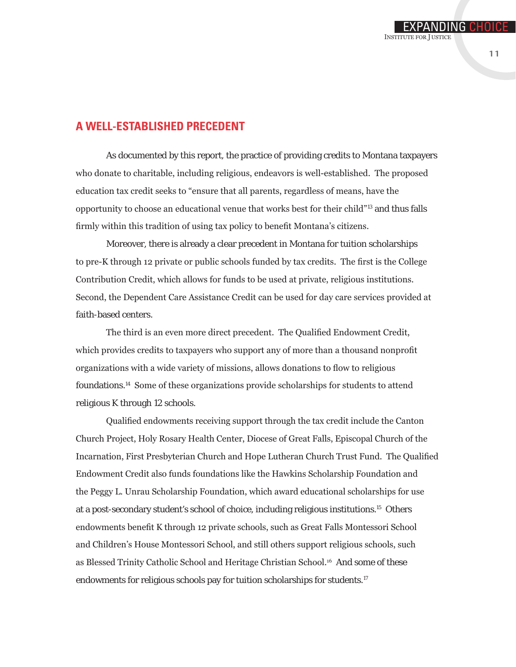#### **A Well-Established Precedent**

As documented by this report, the practice of providing credits to Montana taxpayers who donate to charitable, including religious, endeavors is well-established. The proposed education tax credit seeks to "ensure that all parents, regardless of means, have the opportunity to choose an educational venue that works best for their child"13 and thus falls firmly within this tradition of using tax policy to benefit Montana's citizens.

Moreover, there is already a clear precedent in Montana for tuition scholarships to pre-K through 12 private or public schools funded by tax credits. The first is the College Contribution Credit, which allows for funds to be used at private, religious institutions. Second, the Dependent Care Assistance Credit can be used for day care services provided at faith-based centers.

The third is an even more direct precedent. The Qualified Endowment Credit, which provides credits to taxpayers who support any of more than a thousand nonprofit organizations with a wide variety of missions, allows donations to flow to religious foundations.14 Some of these organizations provide scholarships for students to attend religious K through 12 schools.

Qualified endowments receiving support through the tax credit include the Canton Church Project, Holy Rosary Health Center, Diocese of Great Falls, Episcopal Church of the Incarnation, First Presbyterian Church and Hope Lutheran Church Trust Fund. The Qualified Endowment Credit also funds foundations like the Hawkins Scholarship Foundation and the Peggy L. Unrau Scholarship Foundation, which award educational scholarships for use at a post-secondary student's school of choice, including religious institutions.15 Others endowments benefit K through 12 private schools, such as Great Falls Montessori School and Children's House Montessori School, and still others support religious schools, such as Blessed Trinity Catholic School and Heritage Christian School.16 And some of these endowments for religious schools pay for tuition scholarships for students.<sup>17</sup>

EXPANDING CHOIC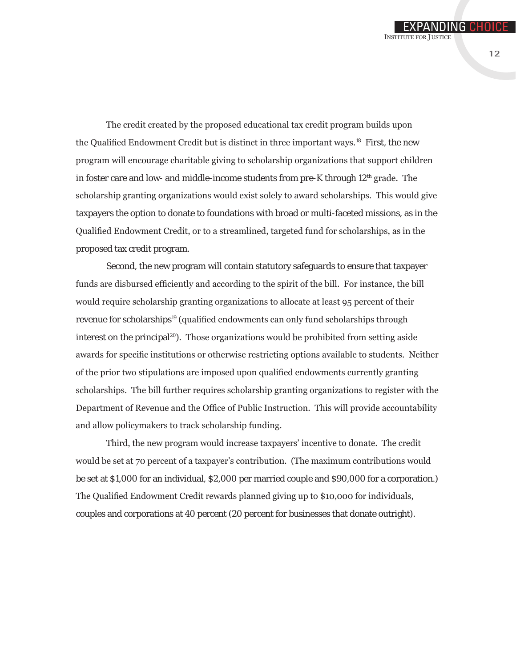The credit created by the proposed educational tax credit program builds upon the Qualified Endowment Credit but is distinct in three important ways.18 First, the new program will encourage charitable giving to scholarship organizations that support children in foster care and low- and middle-income students from pre-K through  $12<sup>th</sup>$  grade. The scholarship granting organizations would exist solely to award scholarships. This would give taxpayers the option to donate to foundations with broad or multi-faceted missions, as in the Qualified Endowment Credit, or to a streamlined, targeted fund for scholarships, as in the proposed tax credit program.

Second, the new program will contain statutory safeguards to ensure that taxpayer funds are disbursed efficiently and according to the spirit of the bill. For instance, the bill would require scholarship granting organizations to allocate at least 95 percent of their revenue for scholarships<sup>19</sup> (qualified endowments can only fund scholarships through interest on the principal<sup>20</sup>). Those organizations would be prohibited from setting aside awards for specific institutions or otherwise restricting options available to students. Neither of the prior two stipulations are imposed upon qualified endowments currently granting scholarships. The bill further requires scholarship granting organizations to register with the Department of Revenue and the Office of Public Instruction. This will provide accountability and allow policymakers to track scholarship funding.

Third, the new program would increase taxpayers' incentive to donate. The credit would be set at 70 percent of a taxpayer's contribution. (The maximum contributions would be set at \$1,000 for an individual, \$2,000 per married couple and \$90,000 for a corporation.) The Qualified Endowment Credit rewards planned giving up to \$10,000 for individuals, couples and corporations at 40 percent (20 percent for businesses that donate outright).

EXPANDING CHOIC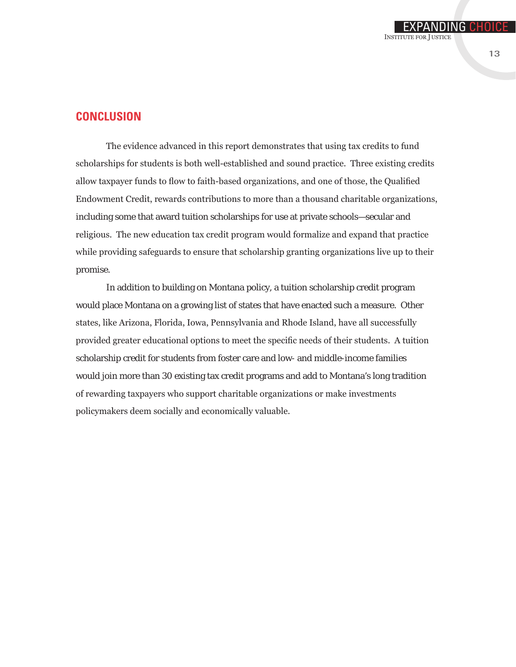#### **Conclusion**

The evidence advanced in this report demonstrates that using tax credits to fund scholarships for students is both well-established and sound practice. Three existing credits allow taxpayer funds to flow to faith-based organizations, and one of those, the Qualified Endowment Credit, rewards contributions to more than a thousand charitable organizations, including some that award tuition scholarships for use at private schools—secular and religious. The new education tax credit program would formalize and expand that practice while providing safeguards to ensure that scholarship granting organizations live up to their promise.

In addition to building on Montana policy, a tuition scholarship credit program would place Montana on a growing list of states that have enacted such a measure. Other states, like Arizona, Florida, Iowa, Pennsylvania and Rhode Island, have all successfully provided greater educational options to meet the specific needs of their students. A tuition scholarship credit for students from foster care and low- and middle-income families would join more than 30 existing tax credit programs and add to Montana's long tradition of rewarding taxpayers who support charitable organizations or make investments policymakers deem socially and economically valuable.

EXPANDING CHOIC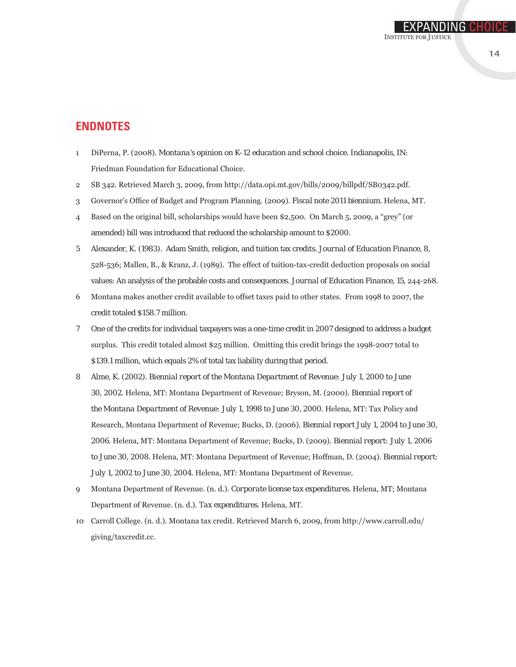#### **Endnotes**

- 1 DiPerna, P. (2008). *Montana's opinion on K-12 education and school choice*. Indianapolis, IN: Friedman Foundation for Educational Choice.
- 2 SB 342. Retrieved March 3, 2009, from http://data.opi.mt.gov/bills/2009/billpdf/SB0342.pdf.
- 3 Governor's Office of Budget and Program Planning. (2009). *Fiscal note 2011 biennium*. Helena, MT.
- 4 Based on the original bill, scholarships would have been \$2,500. On March 5, 2009, a "grey" (or amended) bill was introduced that reduced the scholarship amount to \$2000.
- 5 Alexander, K. (1983). Adam Smith, religion, and tuition tax credits. *Journal of Education Finance, 8*, 528-536; Mallen, B., & Kranz, J. (1989). The effect of tuition-tax-credit deduction proposals on social values: An analysis of the probable costs and consequences. *Journal of Education Finance, 15*, 244-268.
- 6 Montana makes another credit available to offset taxes paid to other states. From 1998 to 2007, the credit totaled \$158.7 million.
- 7 One of the credits for individual taxpayers was a one-time credit in 2007 designed to address a budget surplus. This credit totaled almost \$25 million. Omitting this credit brings the 1998-2007 total to \$139.1 million, which equals 2% of total tax liability during that period.
- 8 Alme, K. (2002). *Biennial report of the Montana Department of Revenue: July 1, 2000 to June 30, 2002*. Helena, MT: Montana Department of Revenue; Bryson, M. (2000). *Biennial report of the Montana Department of Revenue: July 1, 1998 to June 30, 2000*. Helena, MT: Tax Policy and Research, Montana Department of Revenue; Bucks, D. (2006). *Biennial report July 1, 2004 to June 30, 2006*. Helena, MT: Montana Department of Revenue; Bucks, D. (2009). *Biennial report: July 1, 2006 to June 30, 2008*. Helena, MT: Montana Department of Revenue; Hoffman, D. (2004). *Biennial report: July 1, 2002 to June 30, 2004*. Helena, MT: Montana Department of Revenue.
- 9 Montana Department of Revenue. (n. d.). *Corporate license tax expenditures*. Helena, MT; Montana Department of Revenue. (n. d.). *Tax expenditures*. Helena, MT.
- 10 Carroll College. (n. d.). Montana tax credit. Retrieved March 6, 2009, from http://www.carroll.edu/ giving/taxcredit.cc.

EXPANDING CHOIC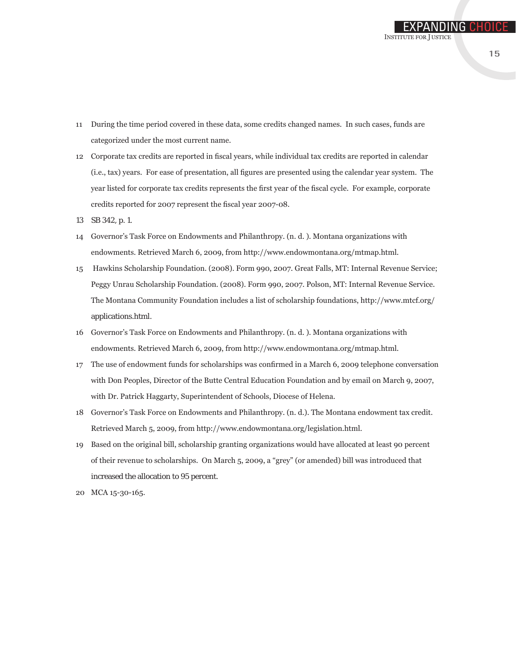- 11 During the time period covered in these data, some credits changed names. In such cases, funds are categorized under the most current name.
- 12 Corporate tax credits are reported in fiscal years, while individual tax credits are reported in calendar (i.e., tax) years. For ease of presentation, all figures are presented using the calendar year system. The year listed for corporate tax credits represents the first year of the fiscal cycle. For example, corporate credits reported for 2007 represent the fiscal year 2007-08.
- 13 SB 342, p. 1.
- 14 Governor's Task Force on Endowments and Philanthropy. (n. d. ). Montana organizations with endowments. Retrieved March 6, 2009, from http://www.endowmontana.org/mtmap.html.
- 15 Hawkins Scholarship Foundation. (2008). Form 990, 2007. Great Falls, MT: Internal Revenue Service; Peggy Unrau Scholarship Foundation. (2008). Form 990, 2007. Polson, MT: Internal Revenue Service. The Montana Community Foundation includes a list of scholarship foundations, http://www.mtcf.org/ applications.html.
- 16 Governor's Task Force on Endowments and Philanthropy. (n. d. ). Montana organizations with endowments. Retrieved March 6, 2009, from http://www.endowmontana.org/mtmap.html.
- 17 The use of endowment funds for scholarships was confirmed in a March 6, 2009 telephone conversation with Don Peoples, Director of the Butte Central Education Foundation and by email on March 9, 2007, with Dr. Patrick Haggarty, Superintendent of Schools, Diocese of Helena.
- 18 Governor's Task Force on Endowments and Philanthropy. (n. d.). The Montana endowment tax credit. Retrieved March 5, 2009, from http://www.endowmontana.org/legislation.html.
- 19 Based on the original bill, scholarship granting organizations would have allocated at least 90 percent of their revenue to scholarships. On March 5, 2009, a "grey" (or amended) bill was introduced that increased the allocation to 95 percent.
- 20 MCA 15-30-165.

EXPANDING CHOIC

Institute for Justice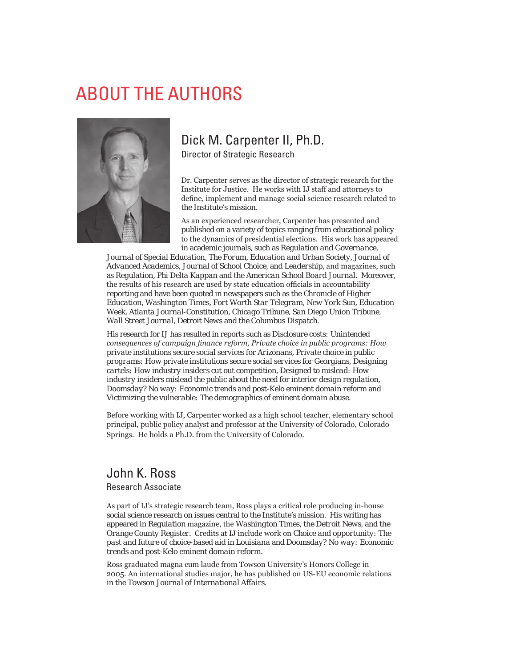### About the Authors



### Dick M. Carpenter II, Ph.D.

Director of Strategic Research

Dr. Carpenter serves as the director of strategic research for the Institute for Justice. He works with IJ staff and attorneys to define, implement and manage social science research related to the Institute's mission.

As an experienced researcher, Carpenter has presented and published on a variety of topics ranging from educational policy to the dynamics of presidential elections. His work has appeared in academic journals, such as *Regulation and Governance*,

*Journal of Special Education, The Forum, Education and Urban Society, Journal of Advanced Academics*, *Journal of School Choice*, and *Leadership*, and magazines, such as *Regulation, Phi Delta Kappan* and the *American School Board Journal.* Moreover, the results of his research are used by state education officials in accountability reporting and have been quoted in newspapers such as the *Chronicle of Higher Education*, *Washington Times, Fort Worth Star Telegram, New York Sun, Education Week, Atlanta Journal-Constitution, Chicago Tribune, San Diego Union Tribune, Wall Street Journal, Detroit News* and the *Columbus Dispatch*.

His research for IJ has resulted in reports such as *Disclosure costs: Unintended consequences of campaign finance reform, Private choice in public programs: How private institutions secure social services for Arizonans, Private choice in public programs: How private institutions secure social services for Georgians, Designing cartels: How industry insiders cut out competition, Designed to mislead: How industry insiders mislead the public about the need for interior design regulation, Doomsday? No way: Economic trends and post-Kelo eminent domain reform* and *Victimizing the vulnerable: The demographics of eminent domain abuse*.

Before working with IJ, Carpenter worked as a high school teacher, elementary school principal, public policy analyst and professor at the University of Colorado, Colorado Springs. He holds a Ph.D. from the University of Colorado.

#### John K. Ross

Research Associate

As part of IJ's strategic research team, Ross plays a critical role producing in-house social science research on issues central to the Institute's mission. His writing has appeared in *Regulation* magazine, the *Washington Times,* the *Detroit News,* and the *Orange County Register*. Credits at IJ include work on *Choice and opportunity: The past and future of choice-based aid in Louisiana* and *Doomsday? No way: Economic trends and post-Kelo eminent domain reform*.

Ross graduated magna cum laude from Towson University's Honors College in 2005. An international studies major, he has published on US-EU economic relations in the *Towson Journal of International Affairs*.